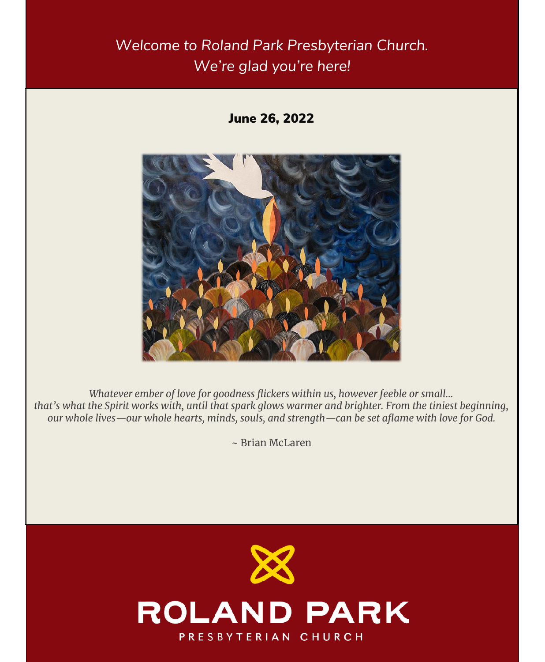# *Welcome to Roland Park Presbyterian Church. We're glad you're here!*

# June 26, 2022



*Whatever ember of love for goodness flickers within us, however feeble or small…*  $\,$ *that's what the Spirit works with, until that spark glows warmer and brighter. From the tiniest beginning, our whole lives—our whole hearts, minds, souls, and strength—can be set aflame with love for God.*

~ Brian McLaren

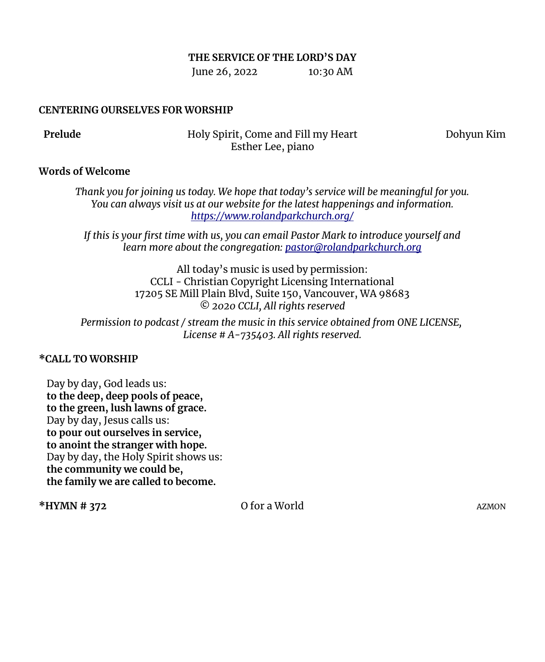### **THE SERVICE OF THE LORD'S DAY**

June 26, 2022 10:30 AM

# **CENTERING OURSELVES FOR WORSHIP**

 **Prelude** Holy Spirit, Come and Fill my Heart Dohyun Kim Esther Lee, piano

# **Words of Welcome**

*Thank you for joining us today. We hope that today's service will be meaningful for you. You can always visit us at our website for the latest happenings and information. <https://www.rolandparkchurch.org/>*

*If this is your first time with us, you can email Pastor Mark to introduce yourself and learn more about the congregation: [pastor@rolandparkchurch.org](mailto:pastor@rolandparkchurch.org)*

> All today's music is used by permission: CCLI - Christian Copyright Licensing International 17205 SE Mill Plain Blvd, Suite 150, Vancouver, WA 98683 *© 2020 CCLI, All rights reserved*

*Permission to podcast / stream the music in this service obtained from ONE LICENSE, License # A-735403. All rights reserved.*

# **\*CALL TO WORSHIP**

Day by day, God leads us: **to the deep, deep pools of peace, to the green, lush lawns of grace.** Day by day, Jesus calls us: **to pour out ourselves in service, to anoint the stranger with hope.** Day by day, the Holy Spirit shows us: **the community we could be, the family we are called to become.**

**\*HYMN # 372** O for a World AZMON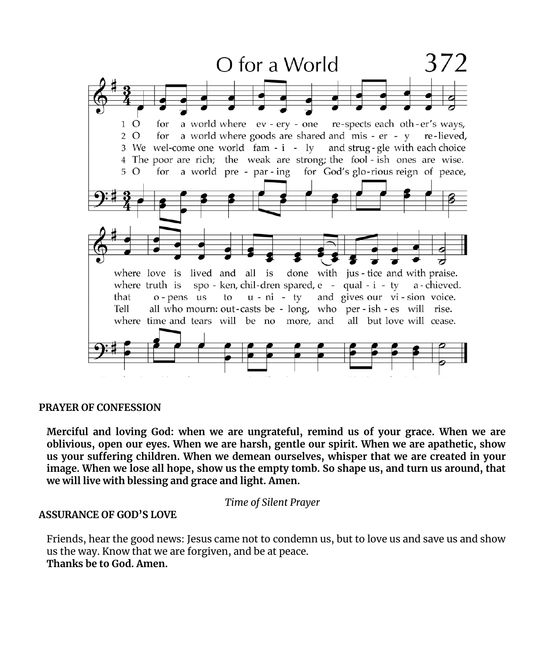

# **PRAYER OF CONFESSION**

**Merciful and loving God: when we are ungrateful, remind us of your grace. When we are oblivious, open our eyes. When we are harsh, gentle our spirit. When we are apathetic, show us your suffering children. When we demean ourselves, whisper that we are created in your image. When we lose all hope, show us the empty tomb. So shape us, and turn us around, that we will live with blessing and grace and light. Amen.**

# *Time of Silent Prayer*

# **ASSURANCE OF GOD'S LOVE**

Friends, hear the good news: Jesus came not to condemn us, but to love us and save us and show us the way. Know that we are forgiven, and be at peace. **Thanks be to God. Amen.**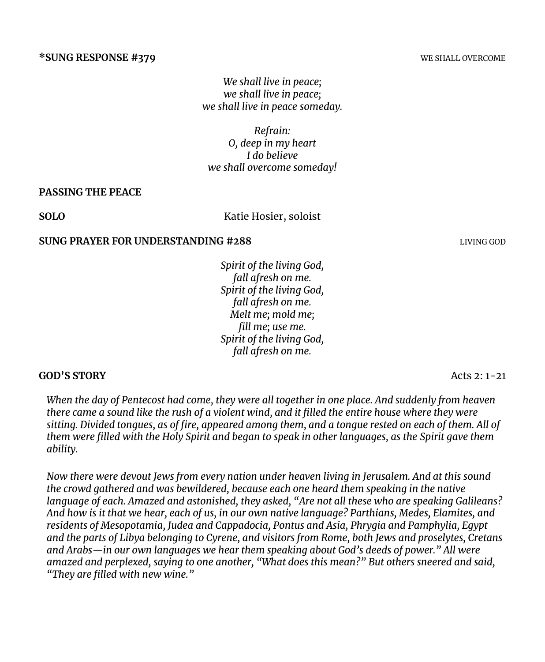### **\*SUNG RESPONSE #379** WE SHALL OVERCOME

# *We shall live in peace; we shall live in peace; we shall live in peace someday.*

*Refrain: O, deep in my heart I do believe we shall overcome someday!*

# **PASSING THE PEACE**

**SOLO** Katie Hosier, soloist

# **SUNG PRAYER FOR UNDERSTANDING #288** LIVING GOD

*Spirit of the living God, fall afresh on me. Spirit of the living God, fall afresh on me. Melt me; mold me; fill me; use me. Spirit of the living God, fall afresh on me.*

# **GOD'S STORY** Acts 2: 1-21

*When the day of Pentecost had come, they were all together in one place. And suddenly from heaven there came a sound like the rush of a violent wind, and it filled the entire house where they were sitting. Divided tongues, as of fire, appeared among them, and a tongue rested on each of them. All of them were filled with the Holy Spirit and began to speak in other languages, as the Spirit gave them ability.*

*Now there were devout Jews from every nation under heaven living in Jerusalem. And at this sound the crowd gathered and was bewildered, because each one heard them speaking in the native language of each. Amazed and astonished, they asked, "Are not all these who are speaking Galileans? And how is it that we hear, each of us, in our own native language? Parthians, Medes, Elamites, and residents of Mesopotamia, Judea and Cappadocia, Pontus and Asia, Phrygia and Pamphylia, Egypt and the parts of Libya belonging to Cyrene, and visitors from Rome, both Jews and proselytes, Cretans and Arabs—in our own languages we hear them speaking about God's deeds of power." All were amazed and perplexed, saying to one another, "What does this mean?" But others sneered and said, "They are filled with new wine."*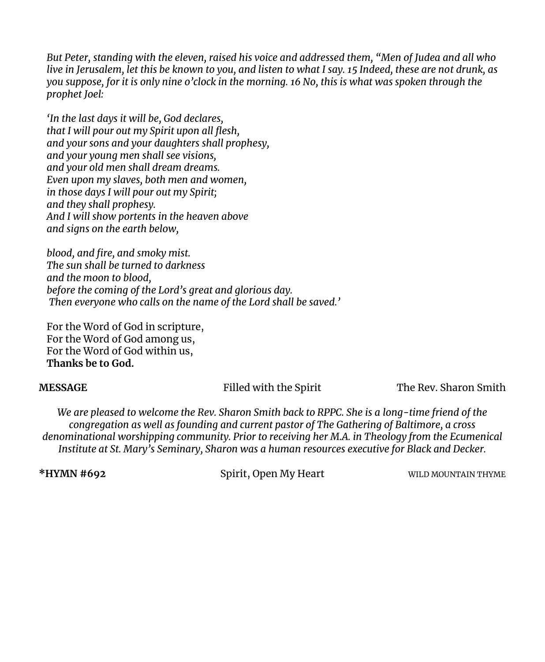*But Peter, standing with the eleven, raised his voice and addressed them, "Men of Judea and all who live in Jerusalem, let this be known to you, and listen to what I say. 15 Indeed, these are not drunk, as you suppose, for it is only nine o'clock in the morning. 16 No, this is what was spoken through the prophet Joel:*

*'In the last days it will be, God declares, that I will pour out my Spirit upon all flesh, and your sons and your daughters shall prophesy, and your young men shall see visions, and your old men shall dream dreams. Even upon my slaves, both men and women, in those days I will pour out my Spirit; and they shall prophesy. And I will show portents in the heaven above and signs on the earth below,*

*blood, and fire, and smoky mist. The sun shall be turned to darkness and the moon to blood, before the coming of the Lord's great and glorious day. Then everyone who calls on the name of the Lord shall be saved.'*

For the Word of God in scripture, For the Word of God among us, For the Word of God within us, **Thanks be to God.**

**MESSAGE** Filled with the Spirit The Rev. Sharon Smith

*We are pleased to welcome the Rev. Sharon Smith back to RPPC. She is a long-time friend of the congregation as well as founding and current pastor of The Gathering of Baltimore, a cross denominational worshipping community. Prior to receiving her M.A. in Theology from the Ecumenical Institute at St. Mary's Seminary, Sharon was a human resources executive for Black and Decker.* 

**\*HYMN #692** Spirit, Open My Heart WILD MOUNTAIN THYME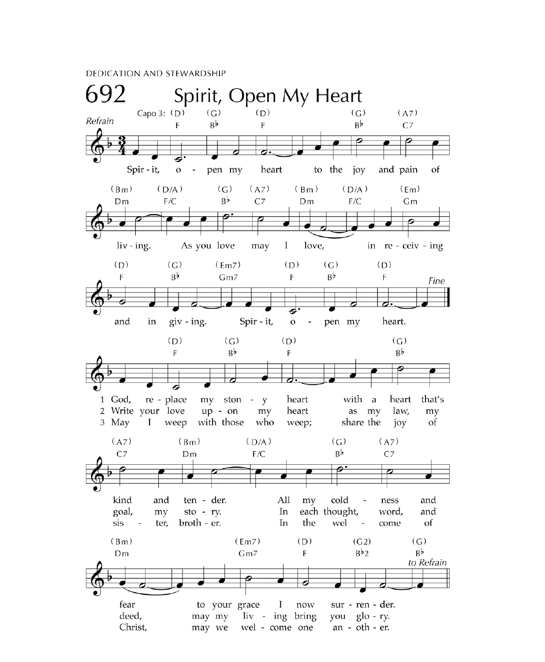DEDICATION AND STEWARDSHIP

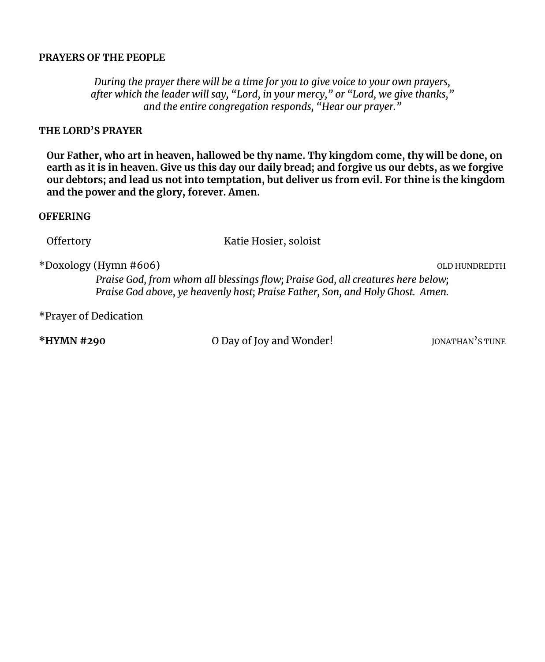# **PRAYERS OF THE PEOPLE**

*During the prayer there will be a time for you to give voice to your own prayers, after which the leader will say, "Lord, in your mercy," or "Lord, we give thanks," and the entire congregation responds, "Hear our prayer."*

# **THE LORD'S PRAYER**

**Our Father, who art in heaven, hallowed be thy name. Thy kingdom come, thy will be done, on earth as it is in heaven. Give us this day our daily bread; and forgive us our debts, as we forgive our debtors; and lead us not into temptation, but deliver us from evil. For thine is the kingdom and the power and the glory, forever. Amen.**

### **OFFERING**

Offertory Katie Hosier, soloist

\*Doxology (Hymn #606) OLD HUNDREDTH

*Praise God, from whom all blessings flow; Praise God, all creatures here below; Praise God above, ye heavenly host; Praise Father, Son, and Holy Ghost. Amen.*

\*Prayer of Dedication

**\*HYMN #290** O Day of Joy and Wonder! JONATHAN'S TUNE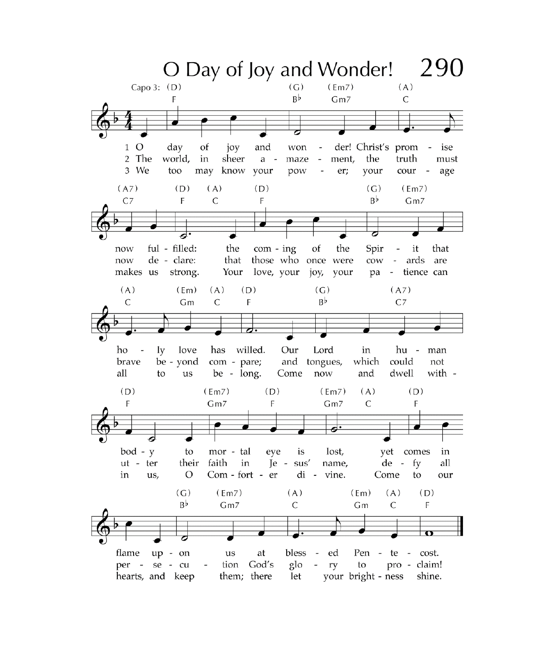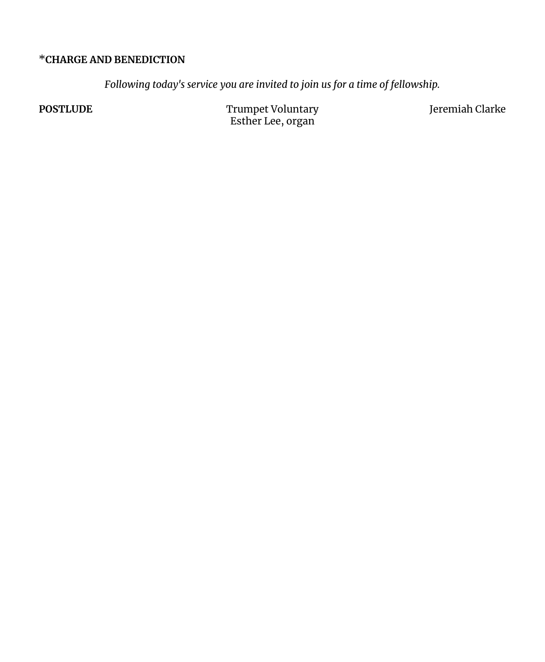# \***CHARGE AND BENEDICTION**

*Following today's service you are invited to join us for a time of fellowship.*

**POSTLUDE** Trumpet Voluntary **Trumper Voluntary** Jeremiah Clarke Esther Lee, organ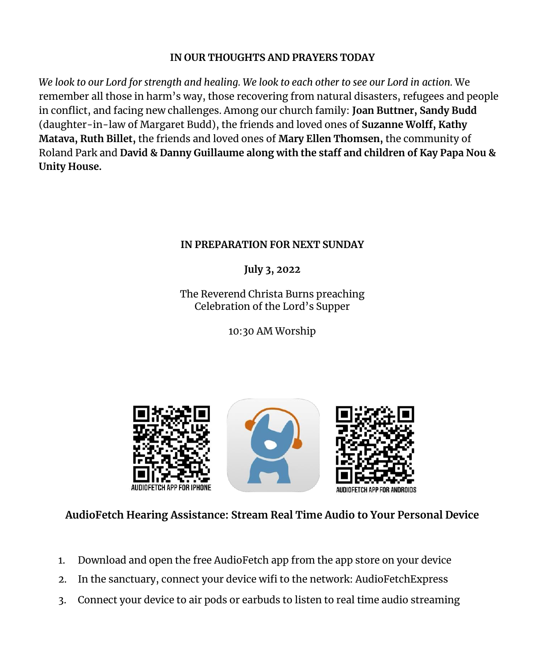# **IN OUR THOUGHTS AND PRAYERS TODAY**

*We look to our Lord for strength and healing. We look to each other to see our Lord in action.* We remember all those in harm's way, those recovering from natural disasters, refugees and people in conflict, and facing new challenges. Among our church family: **Joan Buttner, Sandy Budd** (daughter-in-law of Margaret Budd), the friends and loved ones of **Suzanne Wolff, Kathy Matava, Ruth Billet,** the friends and loved ones of **Mary Ellen Thomsen,** the community of Roland Park and **David & Danny Guillaume along with the staff and children of Kay Papa Nou & Unity House.**

# **IN PREPARATION FOR NEXT SUNDAY**

**July 3, 2022**

The Reverend Christa Burns preaching Celebration of the Lord's Supper

10:30 AM Worship



# **AudioFetch Hearing Assistance: Stream Real Time Audio to Your Personal Device**

- 1. Download and open the free AudioFetch app from the app store on your device
- 2. In the sanctuary, connect your device wifi to the network: AudioFetchExpress
- 3. Connect your device to air pods or earbuds to listen to real time audio streaming